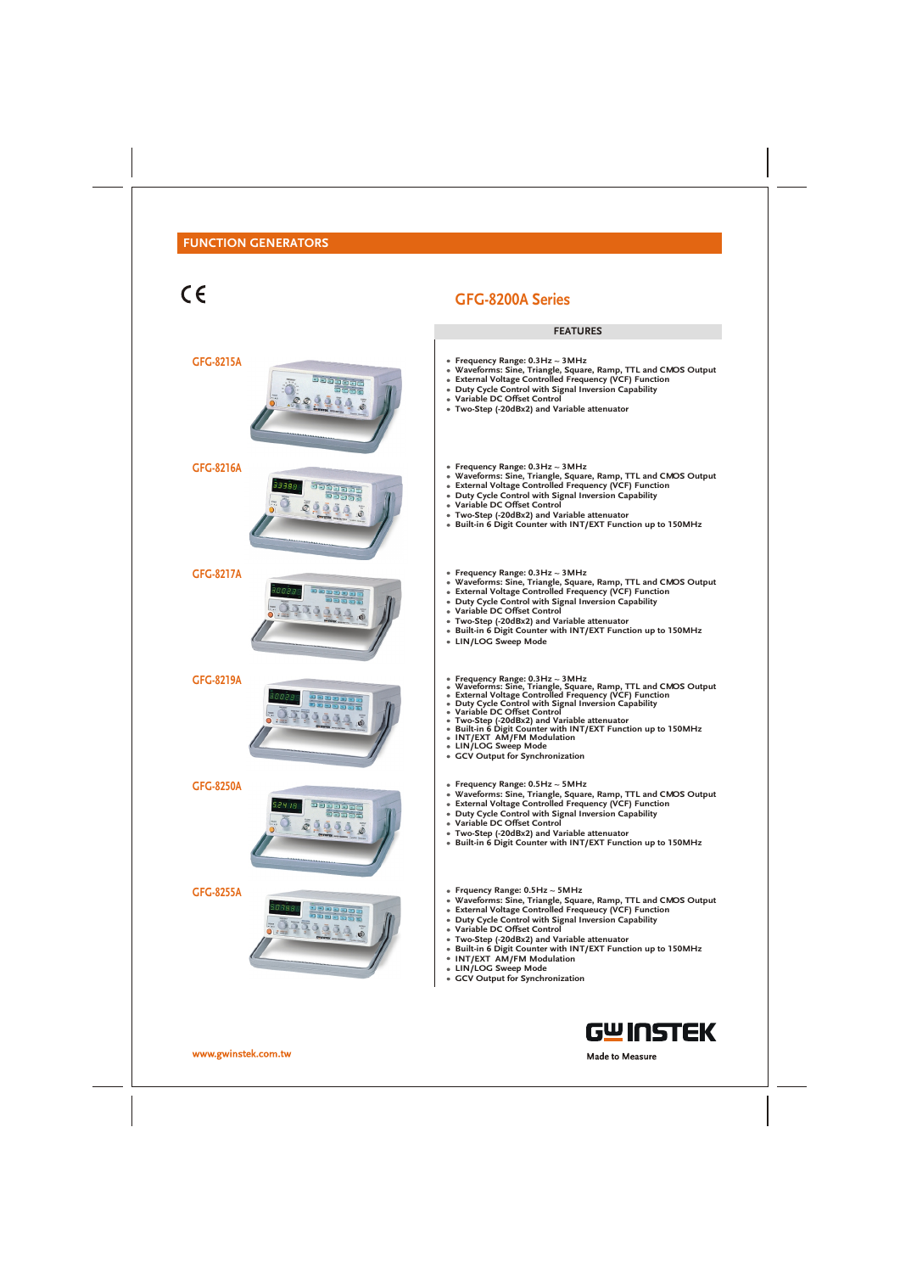# $\epsilon$